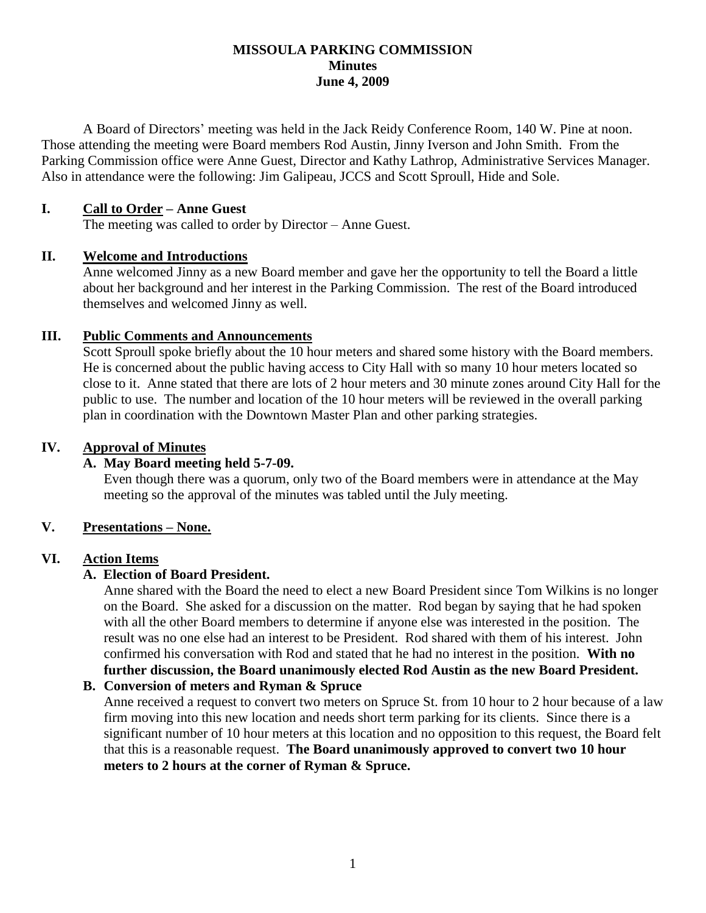#### **MISSOULA PARKING COMMISSION Minutes June 4, 2009**

A Board of Directors' meeting was held in the Jack Reidy Conference Room, 140 W. Pine at noon. Those attending the meeting were Board members Rod Austin, Jinny Iverson and John Smith. From the Parking Commission office were Anne Guest, Director and Kathy Lathrop, Administrative Services Manager. Also in attendance were the following: Jim Galipeau, JCCS and Scott Sproull, Hide and Sole.

#### **I. Call to Order – Anne Guest**

The meeting was called to order by Director – Anne Guest.

#### **II. Welcome and Introductions**

Anne welcomed Jinny as a new Board member and gave her the opportunity to tell the Board a little about her background and her interest in the Parking Commission. The rest of the Board introduced themselves and welcomed Jinny as well.

#### **III. Public Comments and Announcements**

Scott Sproull spoke briefly about the 10 hour meters and shared some history with the Board members. He is concerned about the public having access to City Hall with so many 10 hour meters located so close to it. Anne stated that there are lots of 2 hour meters and 30 minute zones around City Hall for the public to use. The number and location of the 10 hour meters will be reviewed in the overall parking plan in coordination with the Downtown Master Plan and other parking strategies.

#### **IV. Approval of Minutes**

#### **A. May Board meeting held 5-7-09.**

Even though there was a quorum, only two of the Board members were in attendance at the May meeting so the approval of the minutes was tabled until the July meeting.

#### **V. Presentations – None.**

#### **VI. Action Items**

#### **A. Election of Board President.**

Anne shared with the Board the need to elect a new Board President since Tom Wilkins is no longer on the Board. She asked for a discussion on the matter. Rod began by saying that he had spoken with all the other Board members to determine if anyone else was interested in the position. The result was no one else had an interest to be President. Rod shared with them of his interest. John confirmed his conversation with Rod and stated that he had no interest in the position. **With no further discussion, the Board unanimously elected Rod Austin as the new Board President.**

#### **B. Conversion of meters and Ryman & Spruce**

Anne received a request to convert two meters on Spruce St. from 10 hour to 2 hour because of a law firm moving into this new location and needs short term parking for its clients. Since there is a significant number of 10 hour meters at this location and no opposition to this request, the Board felt that this is a reasonable request. **The Board unanimously approved to convert two 10 hour meters to 2 hours at the corner of Ryman & Spruce.**